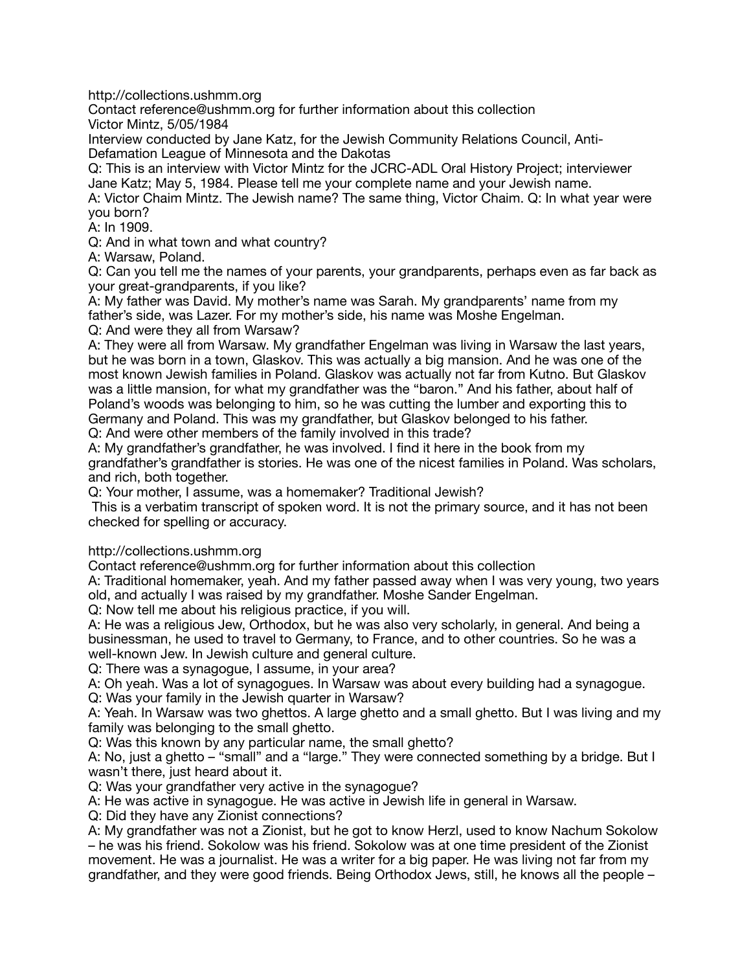http://collections.ushmm.org

Contact reference@ushmm.org for further information about this collection Victor Mintz, 5/05/1984

Interview conducted by Jane Katz, for the Jewish Community Relations Council, Anti-Defamation League of Minnesota and the Dakotas

Q: This is an interview with Victor Mintz for the JCRC-ADL Oral History Project; interviewer Jane Katz; May 5, 1984. Please tell me your complete name and your Jewish name.

A: Victor Chaim Mintz. The Jewish name? The same thing, Victor Chaim. Q: In what year were you born?

A: In 1909.

Q: And in what town and what country?

A: Warsaw, Poland.

Q: Can you tell me the names of your parents, your grandparents, perhaps even as far back as your great-grandparents, if you like?

A: My father was David. My mother's name was Sarah. My grandparents' name from my father's side, was Lazer. For my mother's side, his name was Moshe Engelman.

Q: And were they all from Warsaw?

A: They were all from Warsaw. My grandfather Engelman was living in Warsaw the last years, but he was born in a town, Glaskov. This was actually a big mansion. And he was one of the most known Jewish families in Poland. Glaskov was actually not far from Kutno. But Glaskov was a little mansion, for what my grandfather was the "baron." And his father, about half of Poland's woods was belonging to him, so he was cutting the lumber and exporting this to Germany and Poland. This was my grandfather, but Glaskov belonged to his father. Q: And were other members of the family involved in this trade?

A: My grandfather's grandfather, he was involved. I find it here in the book from my grandfather's grandfather is stories. He was one of the nicest families in Poland. Was scholars, and rich, both together.

Q: Your mother, I assume, was a homemaker? Traditional Jewish?

 This is a verbatim transcript of spoken word. It is not the primary source, and it has not been checked for spelling or accuracy.

http://collections.ushmm.org

Contact reference@ushmm.org for further information about this collection

A: Traditional homemaker, yeah. And my father passed away when I was very young, two years old, and actually I was raised by my grandfather. Moshe Sander Engelman.

Q: Now tell me about his religious practice, if you will.

A: He was a religious Jew, Orthodox, but he was also very scholarly, in general. And being a businessman, he used to travel to Germany, to France, and to other countries. So he was a well-known Jew. In Jewish culture and general culture.

Q: There was a synagogue, I assume, in your area?

A: Oh yeah. Was a lot of synagogues. In Warsaw was about every building had a synagogue.

Q: Was your family in the Jewish quarter in Warsaw?

A: Yeah. In Warsaw was two ghettos. A large ghetto and a small ghetto. But I was living and my family was belonging to the small ghetto.

Q: Was this known by any particular name, the small ghetto?

A: No, just a ghetto – "small" and a "large." They were connected something by a bridge. But I wasn't there, just heard about it.

Q: Was your grandfather very active in the synagogue?

A: He was active in synagogue. He was active in Jewish life in general in Warsaw.

Q: Did they have any Zionist connections?

A: My grandfather was not a Zionist, but he got to know Herzl, used to know Nachum Sokolow – he was his friend. Sokolow was his friend. Sokolow was at one time president of the Zionist movement. He was a journalist. He was a writer for a big paper. He was living not far from my grandfather, and they were good friends. Being Orthodox Jews, still, he knows all the people –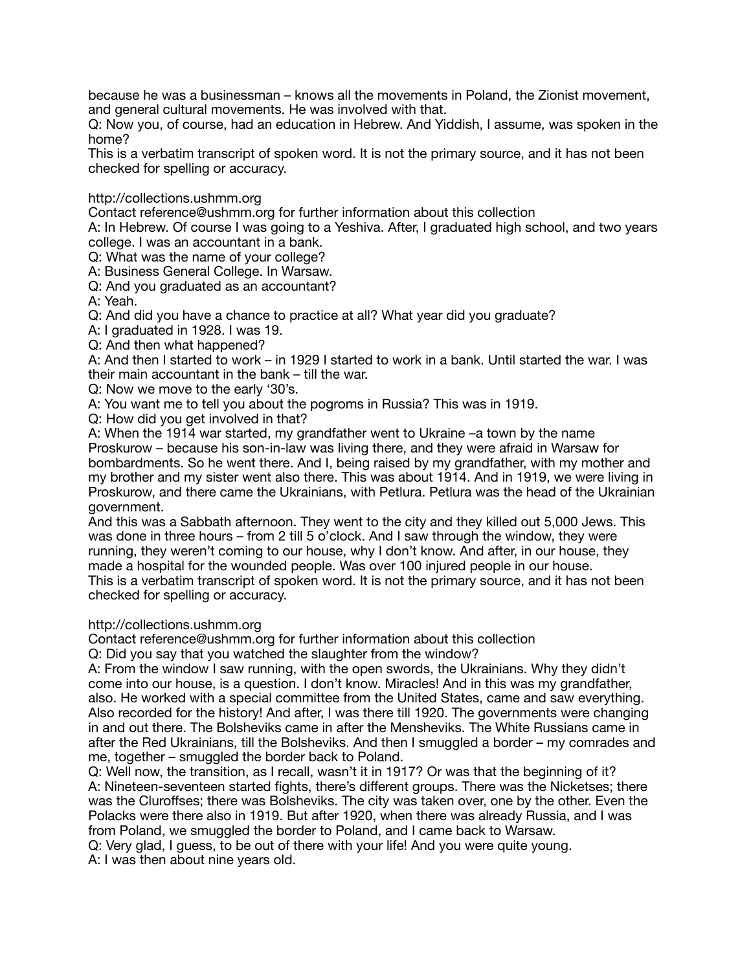because he was a businessman – knows all the movements in Poland, the Zionist movement, and general cultural movements. He was involved with that.

Q: Now you, of course, had an education in Hebrew. And Yiddish, I assume, was spoken in the home?

This is a verbatim transcript of spoken word. It is not the primary source, and it has not been checked for spelling or accuracy.

http://collections.ushmm.org

Contact reference@ushmm.org for further information about this collection

A: In Hebrew. Of course I was going to a Yeshiva. After, I graduated high school, and two years college. I was an accountant in a bank.

Q: What was the name of your college?

A: Business General College. In Warsaw.

Q: And you graduated as an accountant?

A: Yeah.

Q: And did you have a chance to practice at all? What year did you graduate?

A: I graduated in 1928. I was 19.

Q: And then what happened?

A: And then I started to work – in 1929 I started to work in a bank. Until started the war. I was their main accountant in the bank – till the war.

Q: Now we move to the early '30's.

A: You want me to tell you about the pogroms in Russia? This was in 1919.

Q: How did you get involved in that?

A: When the 1914 war started, my grandfather went to Ukraine –a town by the name Proskurow – because his son-in-law was living there, and they were afraid in Warsaw for bombardments. So he went there. And I, being raised by my grandfather, with my mother and my brother and my sister went also there. This was about 1914. And in 1919, we were living in Proskurow, and there came the Ukrainians, with Petlura. Petlura was the head of the Ukrainian government.

And this was a Sabbath afternoon. They went to the city and they killed out 5,000 Jews. This was done in three hours – from 2 till 5 o'clock. And I saw through the window, they were running, they weren't coming to our house, why I don't know. And after, in our house, they made a hospital for the wounded people. Was over 100 injured people in our house. This is a verbatim transcript of spoken word. It is not the primary source, and it has not been checked for spelling or accuracy.

#### http://collections.ushmm.org

Contact reference@ushmm.org for further information about this collection

Q: Did you say that you watched the slaughter from the window?

A: From the window I saw running, with the open swords, the Ukrainians. Why they didn't come into our house, is a question. I don't know. Miracles! And in this was my grandfather, also. He worked with a special committee from the United States, came and saw everything. Also recorded for the history! And after, I was there till 1920. The governments were changing in and out there. The Bolsheviks came in after the Mensheviks. The White Russians came in after the Red Ukrainians, till the Bolsheviks. And then I smuggled a border – my comrades and me, together – smuggled the border back to Poland.

Q: Well now, the transition, as I recall, wasn't it in 1917? Or was that the beginning of it? A: Nineteen-seventeen started fights, there's different groups. There was the Nicketses; there was the Cluroffses; there was Bolsheviks. The city was taken over, one by the other. Even the Polacks were there also in 1919. But after 1920, when there was already Russia, and I was from Poland, we smuggled the border to Poland, and I came back to Warsaw.

Q: Very glad, I guess, to be out of there with your life! And you were quite young. A: I was then about nine years old.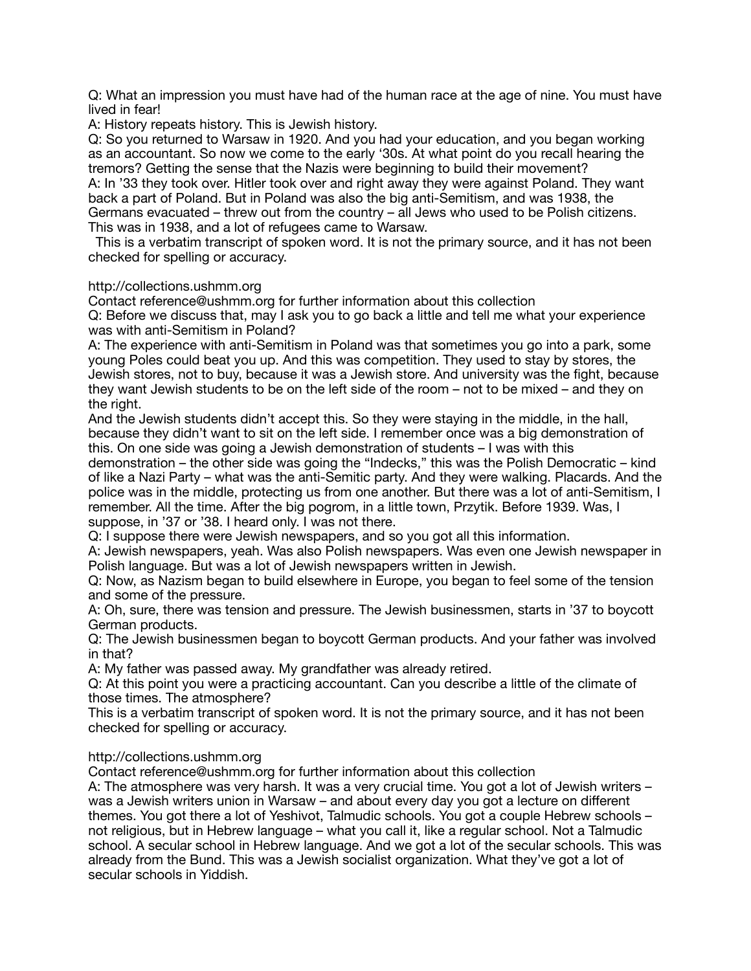Q: What an impression you must have had of the human race at the age of nine. You must have lived in fear!

A: History repeats history. This is Jewish history.

Q: So you returned to Warsaw in 1920. And you had your education, and you began working as an accountant. So now we come to the early '30s. At what point do you recall hearing the tremors? Getting the sense that the Nazis were beginning to build their movement? A: In '33 they took over. Hitler took over and right away they were against Poland. They want back a part of Poland. But in Poland was also the big anti-Semitism, and was 1938, the Germans evacuated – threw out from the country – all Jews who used to be Polish citizens. This was in 1938, and a lot of refugees came to Warsaw.

 This is a verbatim transcript of spoken word. It is not the primary source, and it has not been checked for spelling or accuracy.

## http://collections.ushmm.org

Contact reference@ushmm.org for further information about this collection Q: Before we discuss that, may I ask you to go back a little and tell me what your experience was with anti-Semitism in Poland?

A: The experience with anti-Semitism in Poland was that sometimes you go into a park, some young Poles could beat you up. And this was competition. They used to stay by stores, the Jewish stores, not to buy, because it was a Jewish store. And university was the fight, because they want Jewish students to be on the left side of the room – not to be mixed – and they on the right.

And the Jewish students didn't accept this. So they were staying in the middle, in the hall, because they didn't want to sit on the left side. I remember once was a big demonstration of this. On one side was going a Jewish demonstration of students – I was with this

demonstration – the other side was going the "Indecks," this was the Polish Democratic – kind of like a Nazi Party – what was the anti-Semitic party. And they were walking. Placards. And the police was in the middle, protecting us from one another. But there was a lot of anti-Semitism, I remember. All the time. After the big pogrom, in a little town, Przytik. Before 1939. Was, I suppose, in '37 or '38. I heard only. I was not there.

Q: I suppose there were Jewish newspapers, and so you got all this information.

A: Jewish newspapers, yeah. Was also Polish newspapers. Was even one Jewish newspaper in Polish language. But was a lot of Jewish newspapers written in Jewish.

Q: Now, as Nazism began to build elsewhere in Europe, you began to feel some of the tension and some of the pressure.

A: Oh, sure, there was tension and pressure. The Jewish businessmen, starts in '37 to boycott German products.

Q: The Jewish businessmen began to boycott German products. And your father was involved in that?

A: My father was passed away. My grandfather was already retired.

Q: At this point you were a practicing accountant. Can you describe a little of the climate of those times. The atmosphere?

This is a verbatim transcript of spoken word. It is not the primary source, and it has not been checked for spelling or accuracy.

# http://collections.ushmm.org

Contact reference@ushmm.org for further information about this collection

A: The atmosphere was very harsh. It was a very crucial time. You got a lot of Jewish writers – was a Jewish writers union in Warsaw – and about every day you got a lecture on different themes. You got there a lot of Yeshivot, Talmudic schools. You got a couple Hebrew schools – not religious, but in Hebrew language – what you call it, like a regular school. Not a Talmudic school. A secular school in Hebrew language. And we got a lot of the secular schools. This was already from the Bund. This was a Jewish socialist organization. What they've got a lot of secular schools in Yiddish.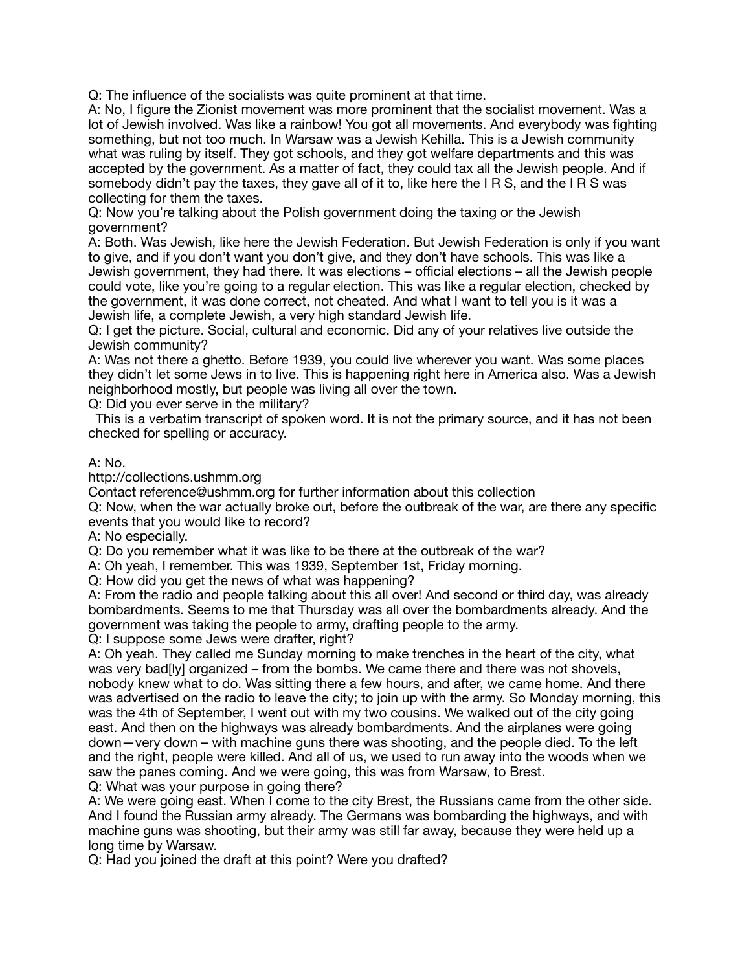Q: The influence of the socialists was quite prominent at that time.

A: No, I figure the Zionist movement was more prominent that the socialist movement. Was a lot of Jewish involved. Was like a rainbow! You got all movements. And everybody was fighting something, but not too much. In Warsaw was a Jewish Kehilla. This is a Jewish community what was ruling by itself. They got schools, and they got welfare departments and this was accepted by the government. As a matter of fact, they could tax all the Jewish people. And if somebody didn't pay the taxes, they gave all of it to, like here the I R S, and the I R S was collecting for them the taxes.

Q: Now you're talking about the Polish government doing the taxing or the Jewish government?

A: Both. Was Jewish, like here the Jewish Federation. But Jewish Federation is only if you want to give, and if you don't want you don't give, and they don't have schools. This was like a Jewish government, they had there. It was elections – official elections – all the Jewish people could vote, like you're going to a regular election. This was like a regular election, checked by the government, it was done correct, not cheated. And what I want to tell you is it was a Jewish life, a complete Jewish, a very high standard Jewish life.

Q: I get the picture. Social, cultural and economic. Did any of your relatives live outside the Jewish community?

A: Was not there a ghetto. Before 1939, you could live wherever you want. Was some places they didn't let some Jews in to live. This is happening right here in America also. Was a Jewish neighborhood mostly, but people was living all over the town.

Q: Did you ever serve in the military?

 This is a verbatim transcript of spoken word. It is not the primary source, and it has not been checked for spelling or accuracy.

## A: No.

http://collections.ushmm.org

Contact reference@ushmm.org for further information about this collection

Q: Now, when the war actually broke out, before the outbreak of the war, are there any specific events that you would like to record?

A: No especially.

Q: Do you remember what it was like to be there at the outbreak of the war?

A: Oh yeah, I remember. This was 1939, September 1st, Friday morning.

Q: How did you get the news of what was happening?

A: From the radio and people talking about this all over! And second or third day, was already bombardments. Seems to me that Thursday was all over the bombardments already. And the government was taking the people to army, drafting people to the army.

Q: I suppose some Jews were drafter, right?

A: Oh yeah. They called me Sunday morning to make trenches in the heart of the city, what was very bad[ly] organized – from the bombs. We came there and there was not shovels, nobody knew what to do. Was sitting there a few hours, and after, we came home. And there was advertised on the radio to leave the city; to join up with the army. So Monday morning, this was the 4th of September, I went out with my two cousins. We walked out of the city going east. And then on the highways was already bombardments. And the airplanes were going down—very down – with machine guns there was shooting, and the people died. To the left and the right, people were killed. And all of us, we used to run away into the woods when we saw the panes coming. And we were going, this was from Warsaw, to Brest. Q: What was your purpose in going there?

A: We were going east. When I come to the city Brest, the Russians came from the other side. And I found the Russian army already. The Germans was bombarding the highways, and with machine guns was shooting, but their army was still far away, because they were held up a long time by Warsaw.

Q: Had you joined the draft at this point? Were you drafted?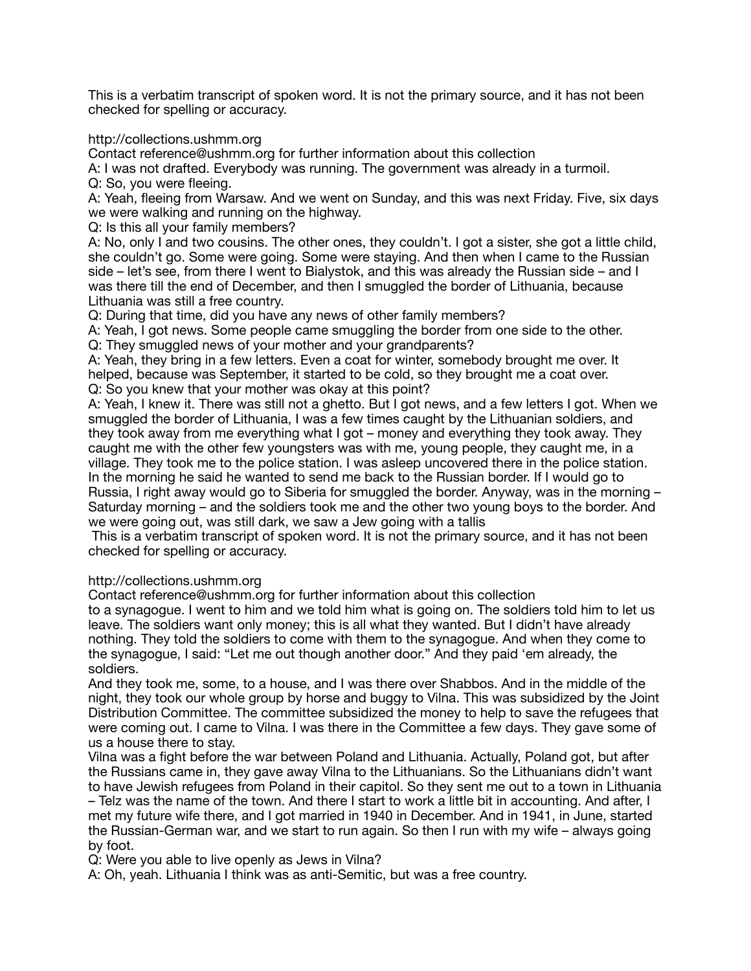This is a verbatim transcript of spoken word. It is not the primary source, and it has not been checked for spelling or accuracy.

http://collections.ushmm.org

Contact reference@ushmm.org for further information about this collection

A: I was not drafted. Everybody was running. The government was already in a turmoil. Q: So, you were fleeing.

A: Yeah, fleeing from Warsaw. And we went on Sunday, and this was next Friday. Five, six days we were walking and running on the highway.

Q: Is this all your family members?

A: No, only I and two cousins. The other ones, they couldn't. I got a sister, she got a little child, she couldn't go. Some were going. Some were staying. And then when I came to the Russian side – let's see, from there I went to Bialystok, and this was already the Russian side – and I was there till the end of December, and then I smuggled the border of Lithuania, because Lithuania was still a free country.

Q: During that time, did you have any news of other family members?

A: Yeah, I got news. Some people came smuggling the border from one side to the other. Q: They smuggled news of your mother and your grandparents?

A: Yeah, they bring in a few letters. Even a coat for winter, somebody brought me over. It helped, because was September, it started to be cold, so they brought me a coat over. Q: So you knew that your mother was okay at this point?

A: Yeah, I knew it. There was still not a ghetto. But I got news, and a few letters I got. When we smuggled the border of Lithuania, I was a few times caught by the Lithuanian soldiers, and they took away from me everything what I got – money and everything they took away. They caught me with the other few youngsters was with me, young people, they caught me, in a village. They took me to the police station. I was asleep uncovered there in the police station. In the morning he said he wanted to send me back to the Russian border. If I would go to Russia, I right away would go to Siberia for smuggled the border. Anyway, was in the morning – Saturday morning – and the soldiers took me and the other two young boys to the border. And we were going out, was still dark, we saw a Jew going with a tallis

 This is a verbatim transcript of spoken word. It is not the primary source, and it has not been checked for spelling or accuracy.

http://collections.ushmm.org

Contact reference@ushmm.org for further information about this collection

to a synagogue. I went to him and we told him what is going on. The soldiers told him to let us leave. The soldiers want only money; this is all what they wanted. But I didn't have already nothing. They told the soldiers to come with them to the synagogue. And when they come to the synagogue, I said: "Let me out though another door." And they paid 'em already, the soldiers.

And they took me, some, to a house, and I was there over Shabbos. And in the middle of the night, they took our whole group by horse and buggy to Vilna. This was subsidized by the Joint Distribution Committee. The committee subsidized the money to help to save the refugees that were coming out. I came to Vilna. I was there in the Committee a few days. They gave some of us a house there to stay.

Vilna was a fight before the war between Poland and Lithuania. Actually, Poland got, but after the Russians came in, they gave away Vilna to the Lithuanians. So the Lithuanians didn't want to have Jewish refugees from Poland in their capitol. So they sent me out to a town in Lithuania – Telz was the name of the town. And there I start to work a little bit in accounting. And after, I met my future wife there, and I got married in 1940 in December. And in 1941, in June, started the Russian-German war, and we start to run again. So then I run with my wife – always going by foot.

Q: Were you able to live openly as Jews in Vilna?

A: Oh, yeah. Lithuania I think was as anti-Semitic, but was a free country.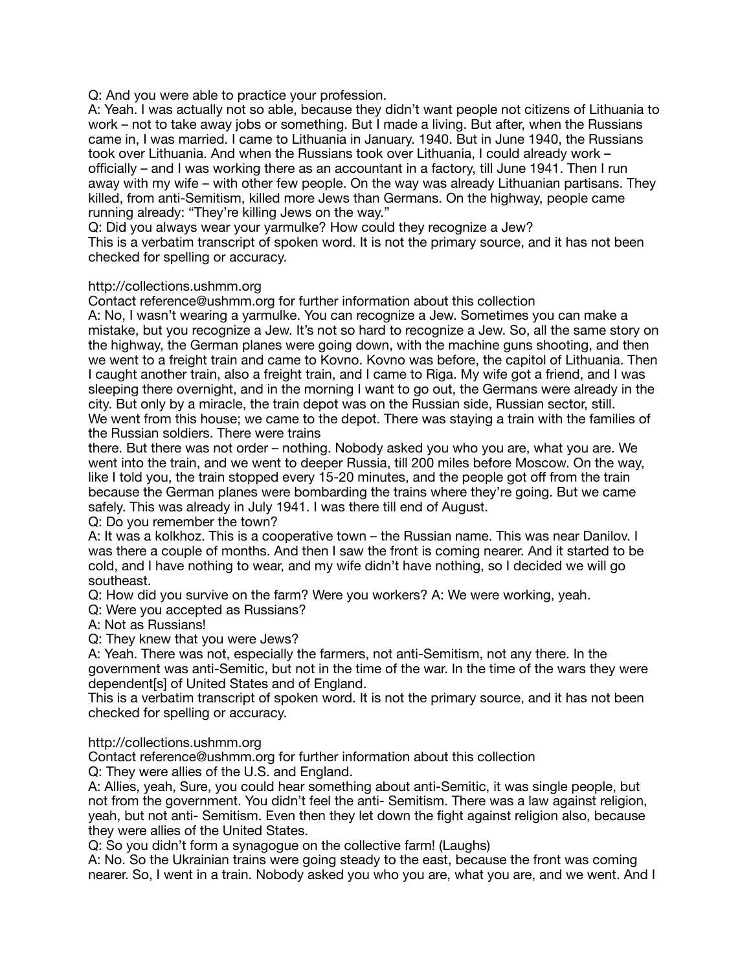Q: And you were able to practice your profession.

A: Yeah. I was actually not so able, because they didn't want people not citizens of Lithuania to work – not to take away jobs or something. But I made a living. But after, when the Russians came in, I was married. I came to Lithuania in January. 1940. But in June 1940, the Russians took over Lithuania. And when the Russians took over Lithuania, I could already work – officially – and I was working there as an accountant in a factory, till June 1941. Then I run away with my wife – with other few people. On the way was already Lithuanian partisans. They killed, from anti-Semitism, killed more Jews than Germans. On the highway, people came running already: "They're killing Jews on the way."

Q: Did you always wear your yarmulke? How could they recognize a Jew? This is a verbatim transcript of spoken word. It is not the primary source, and it has not been

checked for spelling or accuracy.

## http://collections.ushmm.org

Contact reference@ushmm.org for further information about this collection

A: No, I wasn't wearing a yarmulke. You can recognize a Jew. Sometimes you can make a mistake, but you recognize a Jew. It's not so hard to recognize a Jew. So, all the same story on the highway, the German planes were going down, with the machine guns shooting, and then we went to a freight train and came to Kovno. Kovno was before, the capitol of Lithuania. Then I caught another train, also a freight train, and I came to Riga. My wife got a friend, and I was sleeping there overnight, and in the morning I want to go out, the Germans were already in the city. But only by a miracle, the train depot was on the Russian side, Russian sector, still. We went from this house; we came to the depot. There was staying a train with the families of the Russian soldiers. There were trains

there. But there was not order – nothing. Nobody asked you who you are, what you are. We went into the train, and we went to deeper Russia, till 200 miles before Moscow. On the way, like I told you, the train stopped every 15-20 minutes, and the people got off from the train because the German planes were bombarding the trains where they're going. But we came safely. This was already in July 1941. I was there till end of August.

Q: Do you remember the town?

A: It was a kolkhoz. This is a cooperative town – the Russian name. This was near Danilov. I was there a couple of months. And then I saw the front is coming nearer. And it started to be cold, and I have nothing to wear, and my wife didn't have nothing, so I decided we will go southeast.

Q: How did you survive on the farm? Were you workers? A: We were working, yeah.

Q: Were you accepted as Russians?

A: Not as Russians!

Q: They knew that you were Jews?

A: Yeah. There was not, especially the farmers, not anti-Semitism, not any there. In the government was anti-Semitic, but not in the time of the war. In the time of the wars they were dependent[s] of United States and of England.

This is a verbatim transcript of spoken word. It is not the primary source, and it has not been checked for spelling or accuracy.

## http://collections.ushmm.org

Contact reference@ushmm.org for further information about this collection

Q: They were allies of the U.S. and England.

A: Allies, yeah, Sure, you could hear something about anti-Semitic, it was single people, but not from the government. You didn't feel the anti- Semitism. There was a law against religion, yeah, but not anti- Semitism. Even then they let down the fight against religion also, because they were allies of the United States.

Q: So you didn't form a synagogue on the collective farm! (Laughs)

A: No. So the Ukrainian trains were going steady to the east, because the front was coming nearer. So, I went in a train. Nobody asked you who you are, what you are, and we went. And I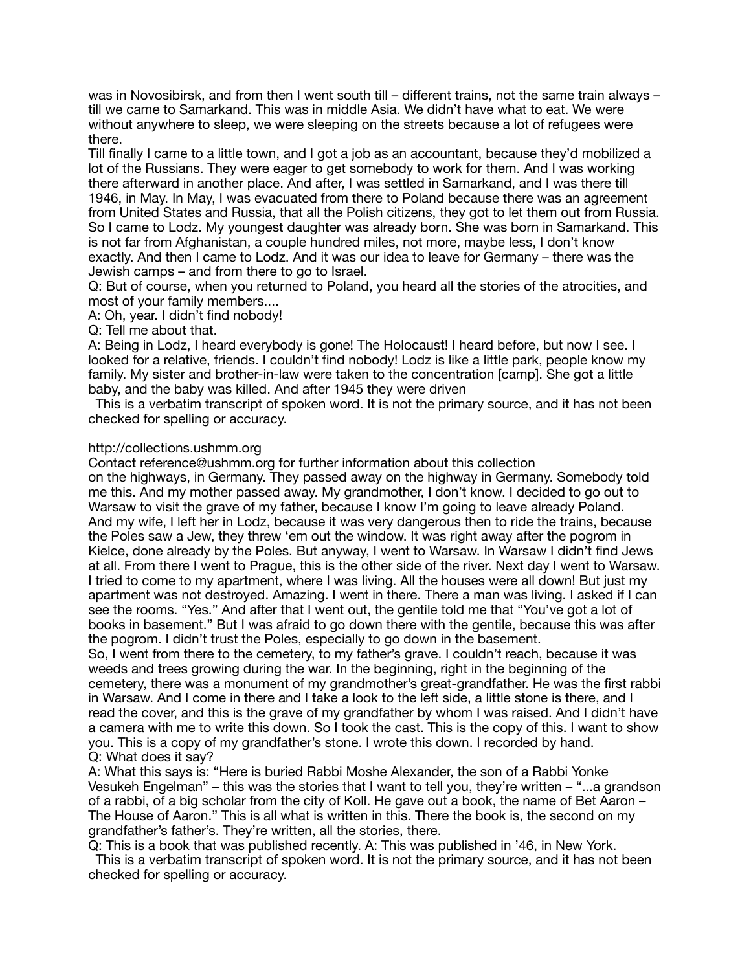was in Novosibirsk, and from then I went south till – different trains, not the same train always – till we came to Samarkand. This was in middle Asia. We didn't have what to eat. We were without anywhere to sleep, we were sleeping on the streets because a lot of refugees were there.

Till finally I came to a little town, and I got a job as an accountant, because they'd mobilized a lot of the Russians. They were eager to get somebody to work for them. And I was working there afterward in another place. And after, I was settled in Samarkand, and I was there till 1946, in May. In May, I was evacuated from there to Poland because there was an agreement from United States and Russia, that all the Polish citizens, they got to let them out from Russia. So I came to Lodz. My youngest daughter was already born. She was born in Samarkand. This is not far from Afghanistan, a couple hundred miles, not more, maybe less, I don't know exactly. And then I came to Lodz. And it was our idea to leave for Germany – there was the Jewish camps – and from there to go to Israel.

Q: But of course, when you returned to Poland, you heard all the stories of the atrocities, and most of your family members....

A: Oh, year. I didn't find nobody!

Q: Tell me about that.

A: Being in Lodz, I heard everybody is gone! The Holocaust! I heard before, but now I see. I looked for a relative, friends. I couldn't find nobody! Lodz is like a little park, people know my family. My sister and brother-in-law were taken to the concentration [camp]. She got a little baby, and the baby was killed. And after 1945 they were driven

 This is a verbatim transcript of spoken word. It is not the primary source, and it has not been checked for spelling or accuracy.

#### http://collections.ushmm.org

Contact reference@ushmm.org for further information about this collection

on the highways, in Germany. They passed away on the highway in Germany. Somebody told me this. And my mother passed away. My grandmother, I don't know. I decided to go out to Warsaw to visit the grave of my father, because I know I'm going to leave already Poland. And my wife, I left her in Lodz, because it was very dangerous then to ride the trains, because the Poles saw a Jew, they threw 'em out the window. It was right away after the pogrom in Kielce, done already by the Poles. But anyway, I went to Warsaw. In Warsaw I didn't find Jews at all. From there I went to Prague, this is the other side of the river. Next day I went to Warsaw. I tried to come to my apartment, where I was living. All the houses were all down! But just my apartment was not destroyed. Amazing. I went in there. There a man was living. I asked if I can see the rooms. "Yes." And after that I went out, the gentile told me that "You've got a lot of books in basement." But I was afraid to go down there with the gentile, because this was after the pogrom. I didn't trust the Poles, especially to go down in the basement.

So, I went from there to the cemetery, to my father's grave. I couldn't reach, because it was weeds and trees growing during the war. In the beginning, right in the beginning of the cemetery, there was a monument of my grandmother's great-grandfather. He was the first rabbi in Warsaw. And I come in there and I take a look to the left side, a little stone is there, and I read the cover, and this is the grave of my grandfather by whom I was raised. And I didn't have a camera with me to write this down. So I took the cast. This is the copy of this. I want to show you. This is a copy of my grandfather's stone. I wrote this down. I recorded by hand. Q: What does it say?

A: What this says is: "Here is buried Rabbi Moshe Alexander, the son of a Rabbi Yonke Vesukeh Engelman" – this was the stories that I want to tell you, they're written – "...a grandson of a rabbi, of a big scholar from the city of Koll. He gave out a book, the name of Bet Aaron – The House of Aaron." This is all what is written in this. There the book is, the second on my grandfather's father's. They're written, all the stories, there.

Q: This is a book that was published recently. A: This was published in '46, in New York. This is a verbatim transcript of spoken word. It is not the primary source, and it has not been checked for spelling or accuracy.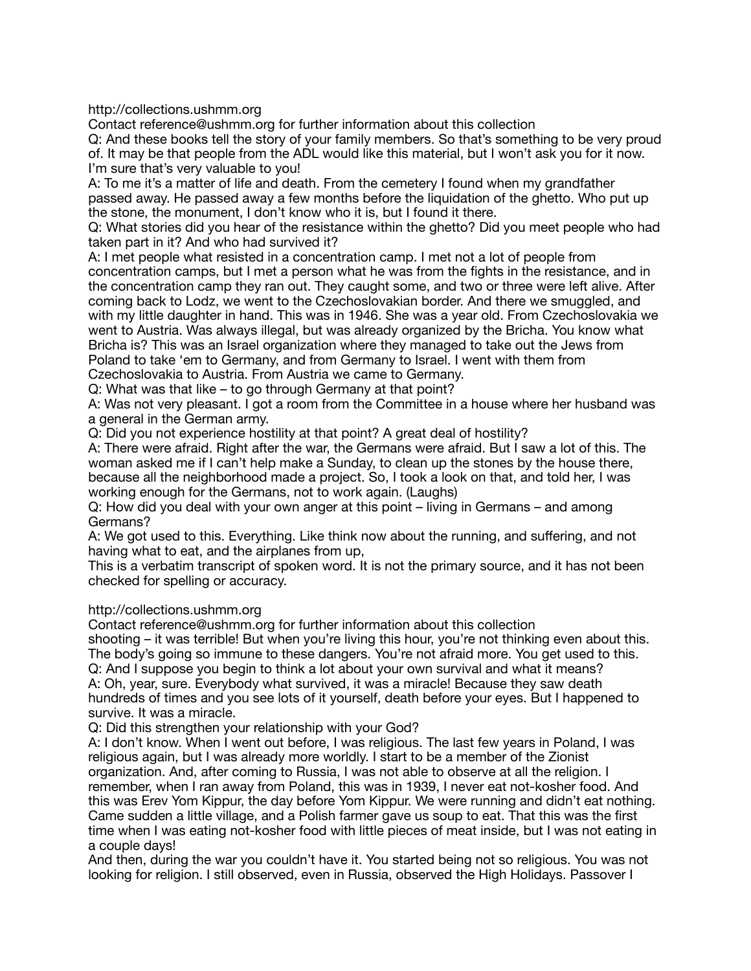http://collections.ushmm.org

Contact reference@ushmm.org for further information about this collection

Q: And these books tell the story of your family members. So that's something to be very proud of. It may be that people from the ADL would like this material, but I won't ask you for it now. I'm sure that's very valuable to you!

A: To me it's a matter of life and death. From the cemetery I found when my grandfather passed away. He passed away a few months before the liquidation of the ghetto. Who put up the stone, the monument, I don't know who it is, but I found it there.

Q: What stories did you hear of the resistance within the ghetto? Did you meet people who had taken part in it? And who had survived it?

A: I met people what resisted in a concentration camp. I met not a lot of people from concentration camps, but I met a person what he was from the fights in the resistance, and in the concentration camp they ran out. They caught some, and two or three were left alive. After coming back to Lodz, we went to the Czechoslovakian border. And there we smuggled, and with my little daughter in hand. This was in 1946. She was a year old. From Czechoslovakia we went to Austria. Was always illegal, but was already organized by the Bricha. You know what Bricha is? This was an Israel organization where they managed to take out the Jews from Poland to take 'em to Germany, and from Germany to Israel. I went with them from Czechoslovakia to Austria. From Austria we came to Germany.

Q: What was that like – to go through Germany at that point?

A: Was not very pleasant. I got a room from the Committee in a house where her husband was a general in the German army.

Q: Did you not experience hostility at that point? A great deal of hostility?

A: There were afraid. Right after the war, the Germans were afraid. But I saw a lot of this. The woman asked me if I can't help make a Sunday, to clean up the stones by the house there, because all the neighborhood made a project. So, I took a look on that, and told her, I was working enough for the Germans, not to work again. (Laughs)

Q: How did you deal with your own anger at this point – living in Germans – and among Germans?

A: We got used to this. Everything. Like think now about the running, and suffering, and not having what to eat, and the airplanes from up,

This is a verbatim transcript of spoken word. It is not the primary source, and it has not been checked for spelling or accuracy.

## http://collections.ushmm.org

Contact reference@ushmm.org for further information about this collection

shooting – it was terrible! But when you're living this hour, you're not thinking even about this. The body's going so immune to these dangers. You're not afraid more. You get used to this. Q: And I suppose you begin to think a lot about your own survival and what it means? A: Oh, year, sure. Everybody what survived, it was a miracle! Because they saw death hundreds of times and you see lots of it yourself, death before your eyes. But I happened to survive. It was a miracle.

Q: Did this strengthen your relationship with your God?

A: I don't know. When I went out before, I was religious. The last few years in Poland, I was religious again, but I was already more worldly. I start to be a member of the Zionist organization. And, after coming to Russia, I was not able to observe at all the religion. I remember, when I ran away from Poland, this was in 1939, I never eat not-kosher food. And this was Erev Yom Kippur, the day before Yom Kippur. We were running and didn't eat nothing. Came sudden a little village, and a Polish farmer gave us soup to eat. That this was the first time when I was eating not-kosher food with little pieces of meat inside, but I was not eating in a couple days!

And then, during the war you couldn't have it. You started being not so religious. You was not looking for religion. I still observed, even in Russia, observed the High Holidays. Passover I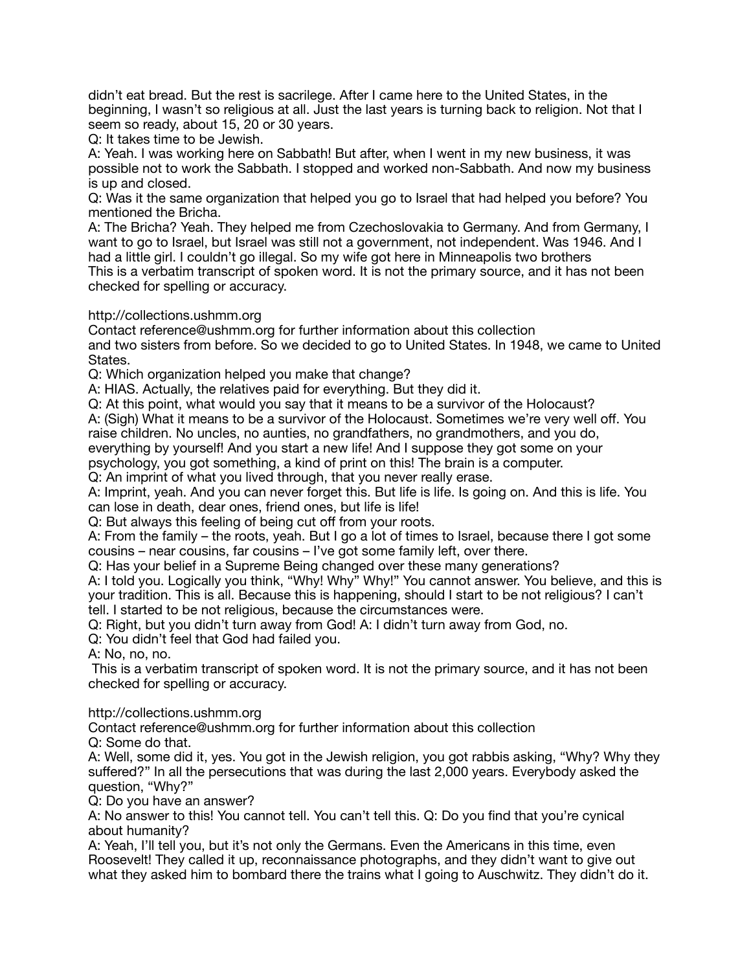didn't eat bread. But the rest is sacrilege. After I came here to the United States, in the beginning, I wasn't so religious at all. Just the last years is turning back to religion. Not that I seem so ready, about 15, 20 or 30 years.

Q: It takes time to be Jewish.

A: Yeah. I was working here on Sabbath! But after, when I went in my new business, it was possible not to work the Sabbath. I stopped and worked non-Sabbath. And now my business is up and closed.

Q: Was it the same organization that helped you go to Israel that had helped you before? You mentioned the Bricha.

A: The Bricha? Yeah. They helped me from Czechoslovakia to Germany. And from Germany, I want to go to Israel, but Israel was still not a government, not independent. Was 1946. And I had a little girl. I couldn't go illegal. So my wife got here in Minneapolis two brothers

This is a verbatim transcript of spoken word. It is not the primary source, and it has not been checked for spelling or accuracy.

http://collections.ushmm.org

Contact reference@ushmm.org for further information about this collection

and two sisters from before. So we decided to go to United States. In 1948, we came to United States.

Q: Which organization helped you make that change?

A: HIAS. Actually, the relatives paid for everything. But they did it.

Q: At this point, what would you say that it means to be a survivor of the Holocaust?

A: (Sigh) What it means to be a survivor of the Holocaust. Sometimes we're very well off. You raise children. No uncles, no aunties, no grandfathers, no grandmothers, and you do,

everything by yourself! And you start a new life! And I suppose they got some on your

psychology, you got something, a kind of print on this! The brain is a computer.

Q: An imprint of what you lived through, that you never really erase.

A: Imprint, yeah. And you can never forget this. But life is life. Is going on. And this is life. You can lose in death, dear ones, friend ones, but life is life!

Q: But always this feeling of being cut off from your roots.

A: From the family – the roots, yeah. But I go a lot of times to Israel, because there I got some cousins – near cousins, far cousins – I've got some family left, over there.

Q: Has your belief in a Supreme Being changed over these many generations?

A: I told you. Logically you think, "Why! Why" Why!" You cannot answer. You believe, and this is your tradition. This is all. Because this is happening, should I start to be not religious? I can't tell. I started to be not religious, because the circumstances were.

Q: Right, but you didn't turn away from God! A: I didn't turn away from God, no.

Q: You didn't feel that God had failed you.

A: No, no, no.

 This is a verbatim transcript of spoken word. It is not the primary source, and it has not been checked for spelling or accuracy.

http://collections.ushmm.org

Contact reference@ushmm.org for further information about this collection

Q: Some do that.

A: Well, some did it, yes. You got in the Jewish religion, you got rabbis asking, "Why? Why they suffered?" In all the persecutions that was during the last 2,000 years. Everybody asked the question, "Why?"

Q: Do you have an answer?

A: No answer to this! You cannot tell. You can't tell this. Q: Do you find that you're cynical about humanity?

A: Yeah, I'll tell you, but it's not only the Germans. Even the Americans in this time, even Roosevelt! They called it up, reconnaissance photographs, and they didn't want to give out what they asked him to bombard there the trains what I going to Auschwitz. They didn't do it.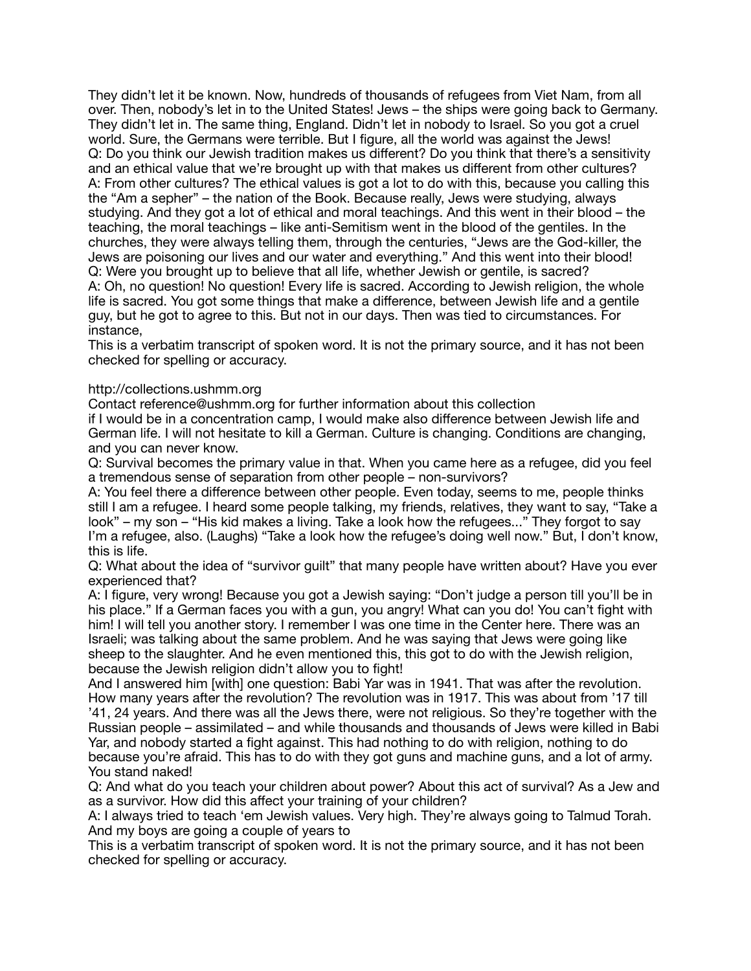They didn't let it be known. Now, hundreds of thousands of refugees from Viet Nam, from all over. Then, nobody's let in to the United States! Jews – the ships were going back to Germany. They didn't let in. The same thing, England. Didn't let in nobody to Israel. So you got a cruel world. Sure, the Germans were terrible. But I figure, all the world was against the Jews! Q: Do you think our Jewish tradition makes us different? Do you think that there's a sensitivity and an ethical value that we're brought up with that makes us different from other cultures? A: From other cultures? The ethical values is got a lot to do with this, because you calling this the "Am a sepher" – the nation of the Book. Because really, Jews were studying, always studying. And they got a lot of ethical and moral teachings. And this went in their blood – the teaching, the moral teachings – like anti-Semitism went in the blood of the gentiles. In the churches, they were always telling them, through the centuries, "Jews are the God-killer, the Jews are poisoning our lives and our water and everything." And this went into their blood! Q: Were you brought up to believe that all life, whether Jewish or gentile, is sacred? A: Oh, no question! No question! Every life is sacred. According to Jewish religion, the whole life is sacred. You got some things that make a difference, between Jewish life and a gentile guy, but he got to agree to this. But not in our days. Then was tied to circumstances. For instance,

This is a verbatim transcript of spoken word. It is not the primary source, and it has not been checked for spelling or accuracy.

## http://collections.ushmm.org

Contact reference@ushmm.org for further information about this collection

if I would be in a concentration camp, I would make also difference between Jewish life and German life. I will not hesitate to kill a German. Culture is changing. Conditions are changing, and you can never know.

Q: Survival becomes the primary value in that. When you came here as a refugee, did you feel a tremendous sense of separation from other people – non-survivors?

A: You feel there a difference between other people. Even today, seems to me, people thinks still I am a refugee. I heard some people talking, my friends, relatives, they want to say, "Take a look" – my son – "His kid makes a living. Take a look how the refugees..." They forgot to sav I'm a refugee, also. (Laughs) "Take a look how the refugee's doing well now." But, I don't know, this is life.

Q: What about the idea of "survivor guilt" that many people have written about? Have you ever experienced that?

A: I figure, very wrong! Because you got a Jewish saying: "Don't judge a person till you'll be in his place." If a German faces you with a gun, you angry! What can you do! You can't fight with him! I will tell you another story. I remember I was one time in the Center here. There was an Israeli; was talking about the same problem. And he was saying that Jews were going like sheep to the slaughter. And he even mentioned this, this got to do with the Jewish religion, because the Jewish religion didn't allow you to fight!

And I answered him [with] one question: Babi Yar was in 1941. That was after the revolution. How many years after the revolution? The revolution was in 1917. This was about from '17 till '41, 24 years. And there was all the Jews there, were not religious. So they're together with the Russian people – assimilated – and while thousands and thousands of Jews were killed in Babi Yar, and nobody started a fight against. This had nothing to do with religion, nothing to do because you're afraid. This has to do with they got guns and machine guns, and a lot of army. You stand naked!

Q: And what do you teach your children about power? About this act of survival? As a Jew and as a survivor. How did this affect your training of your children?

A: I always tried to teach 'em Jewish values. Very high. They're always going to Talmud Torah. And my boys are going a couple of years to

This is a verbatim transcript of spoken word. It is not the primary source, and it has not been checked for spelling or accuracy.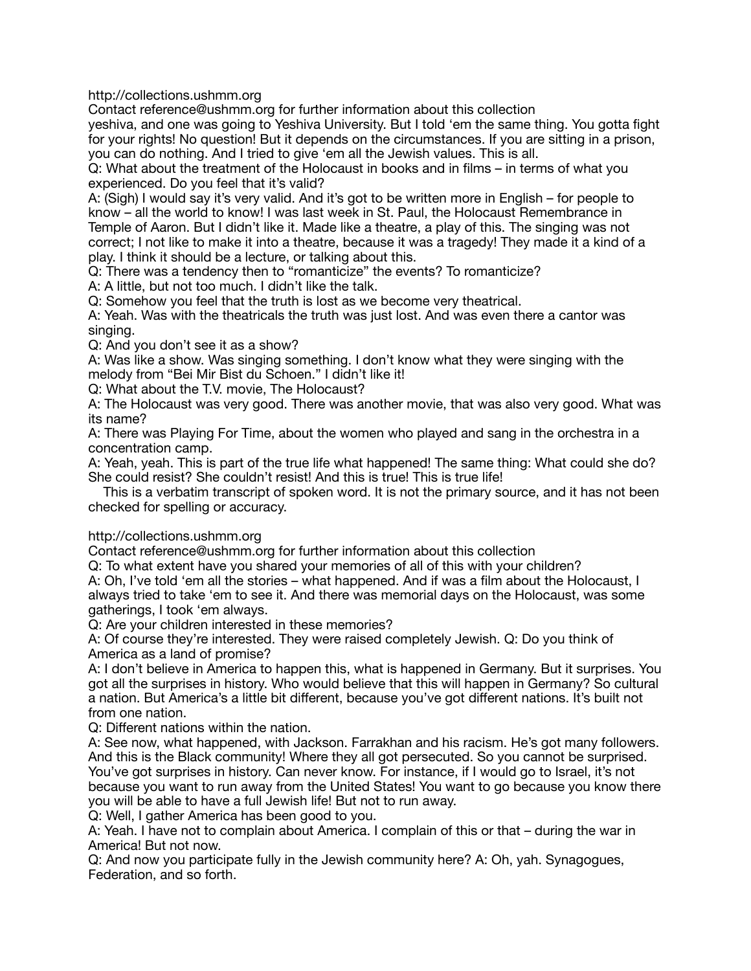http://collections.ushmm.org

Contact reference@ushmm.org for further information about this collection

yeshiva, and one was going to Yeshiva University. But I told 'em the same thing. You gotta fight for your rights! No question! But it depends on the circumstances. If you are sitting in a prison, you can do nothing. And I tried to give 'em all the Jewish values. This is all.

Q: What about the treatment of the Holocaust in books and in films – in terms of what you experienced. Do you feel that it's valid?

A: (Sigh) I would say it's very valid. And it's got to be written more in English – for people to know – all the world to know! I was last week in St. Paul, the Holocaust Remembrance in Temple of Aaron. But I didn't like it. Made like a theatre, a play of this. The singing was not correct; I not like to make it into a theatre, because it was a tragedy! They made it a kind of a play. I think it should be a lecture, or talking about this.

Q: There was a tendency then to "romanticize" the events? To romanticize?

A: A little, but not too much. I didn't like the talk.

Q: Somehow you feel that the truth is lost as we become very theatrical.

A: Yeah. Was with the theatricals the truth was just lost. And was even there a cantor was singing.

Q: And you don't see it as a show?

A: Was like a show. Was singing something. I don't know what they were singing with the melody from "Bei Mir Bist du Schoen." I didn't like it!

Q: What about the T.V. movie, The Holocaust?

A: The Holocaust was very good. There was another movie, that was also very good. What was its name?

A: There was Playing For Time, about the women who played and sang in the orchestra in a concentration camp.

A: Yeah, yeah. This is part of the true life what happened! The same thing: What could she do? She could resist? She couldn't resist! And this is true! This is true life!

 This is a verbatim transcript of spoken word. It is not the primary source, and it has not been checked for spelling or accuracy.

http://collections.ushmm.org

Contact reference@ushmm.org for further information about this collection

Q: To what extent have you shared your memories of all of this with your children?

A: Oh, I've told 'em all the stories – what happened. And if was a film about the Holocaust, I always tried to take 'em to see it. And there was memorial days on the Holocaust, was some gatherings, I took 'em always.

Q: Are your children interested in these memories?

A: Of course they're interested. They were raised completely Jewish. Q: Do you think of America as a land of promise?

A: I don't believe in America to happen this, what is happened in Germany. But it surprises. You got all the surprises in history. Who would believe that this will happen in Germany? So cultural a nation. But America's a little bit different, because you've got different nations. It's built not from one nation.

Q: Different nations within the nation.

A: See now, what happened, with Jackson. Farrakhan and his racism. He's got many followers. And this is the Black community! Where they all got persecuted. So you cannot be surprised. You've got surprises in history. Can never know. For instance, if I would go to Israel, it's not because you want to run away from the United States! You want to go because you know there you will be able to have a full Jewish life! But not to run away.

Q: Well, I gather America has been good to you.

A: Yeah. I have not to complain about America. I complain of this or that – during the war in America! But not now.

Q: And now you participate fully in the Jewish community here? A: Oh, yah. Synagogues, Federation, and so forth.